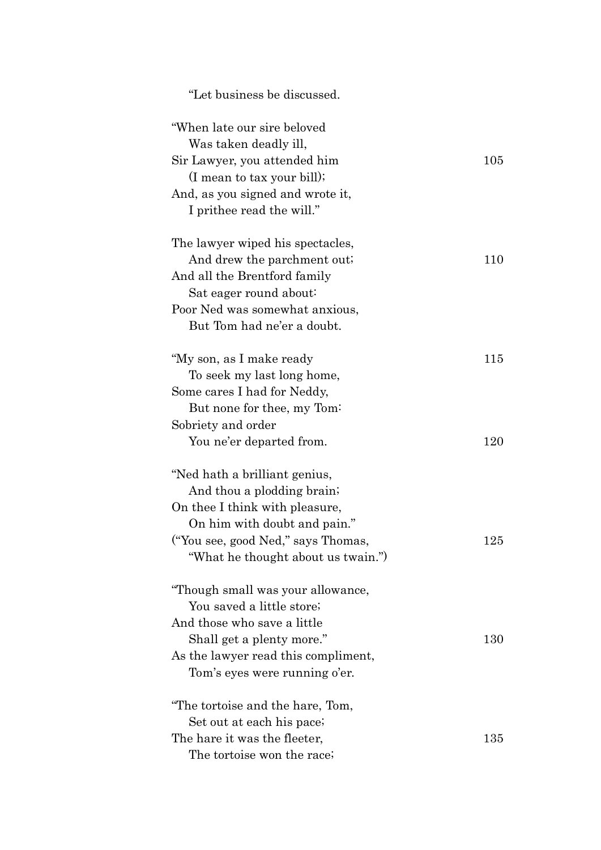| "Let business be discussed.                          |     |
|------------------------------------------------------|-----|
| "When late our sire beloved<br>Was taken deadly ill, |     |
| Sir Lawyer, you attended him                         | 105 |
| (I mean to tax your bill);                           |     |
| And, as you signed and wrote it,                     |     |
| I prithee read the will."                            |     |
| The lawyer wiped his spectacles,                     |     |
| And drew the parchment out.                          | 110 |
| And all the Brentford family                         |     |
| Sat eager round about:                               |     |
| Poor Ned was somewhat anxious,                       |     |
| But Tom had ne'er a doubt.                           |     |
| "My son, as I make ready                             | 115 |
| To seek my last long home,                           |     |
| Some cares I had for Neddy,                          |     |
| But none for thee, my Tom:                           |     |
| Sobriety and order                                   |     |
| You ne'er departed from.                             | 120 |
| "Ned hath a brilliant genius,                        |     |
| And thou a plodding brain;                           |     |
| On thee I think with pleasure,                       |     |
| On him with doubt and pain."                         |     |
| ("You see, good Ned," says Thomas,                   | 125 |
| "What he thought about us twain."                    |     |
| "Though small was your allowance,                    |     |
| You saved a little store;                            |     |
| And those who save a little                          |     |
| Shall get a plenty more."                            | 130 |
| As the lawyer read this compliment,                  |     |
| Tom's eyes were running o'er.                        |     |
| "The tortoise and the hare, Tom,                     |     |
| Set out at each his pace;                            |     |
| The hare it was the fleeter,                         | 135 |
| The tortoise won the race;                           |     |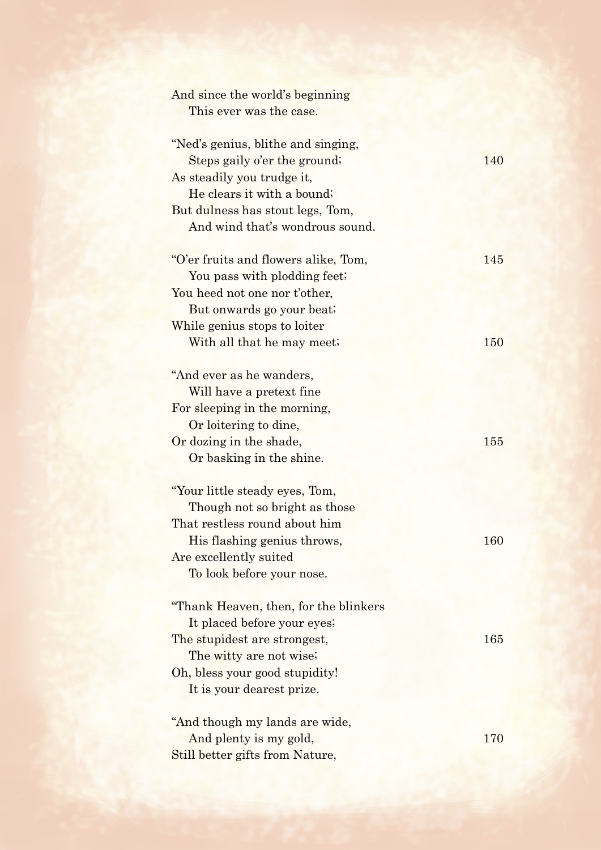| And since the world's beginning       |     |
|---------------------------------------|-----|
| This ever was the case.               |     |
|                                       |     |
| "Ned's genius, blithe and singing,    |     |
| Steps gaily o'er the ground;          | 140 |
| As steadily you trudge it,            |     |
| He clears it with a bound;            |     |
| But dulness has stout legs, Tom,      |     |
| And wind that's wondrous sound.       |     |
| "O'er fruits and flowers alike, Tom,  | 145 |
| You pass with plodding feet;          |     |
| You heed not one nor t'other,         |     |
| But onwards go your beat;             |     |
| While genius stops to loiter          |     |
| With all that he may meet;            | 150 |
|                                       |     |
| "And ever as he wanders,              |     |
| Will have a pretext fine              |     |
| For sleeping in the morning,          |     |
| Or loitering to dine,                 |     |
| Or dozing in the shade,               | 155 |
| Or basking in the shine.              |     |
|                                       |     |
| "Your little steady eyes, Tom,        |     |
| Though not so bright as those         |     |
| That restless round about him         |     |
| His flashing genius throws,           | 160 |
| Are excellently suited                |     |
| To look before your nose.             |     |
| "Thank Heaven, then, for the blinkers |     |
| It placed before your eyes;           |     |
| The stupidest are strongest,          | 165 |
| The witty are not wise;               |     |
| Oh, bless your good stupidity!        |     |
| It is your dearest prize.             |     |
| "And though my lands are wide,        |     |
| And plenty is my gold,                | 170 |
| Still better gifts from Nature,       |     |
|                                       |     |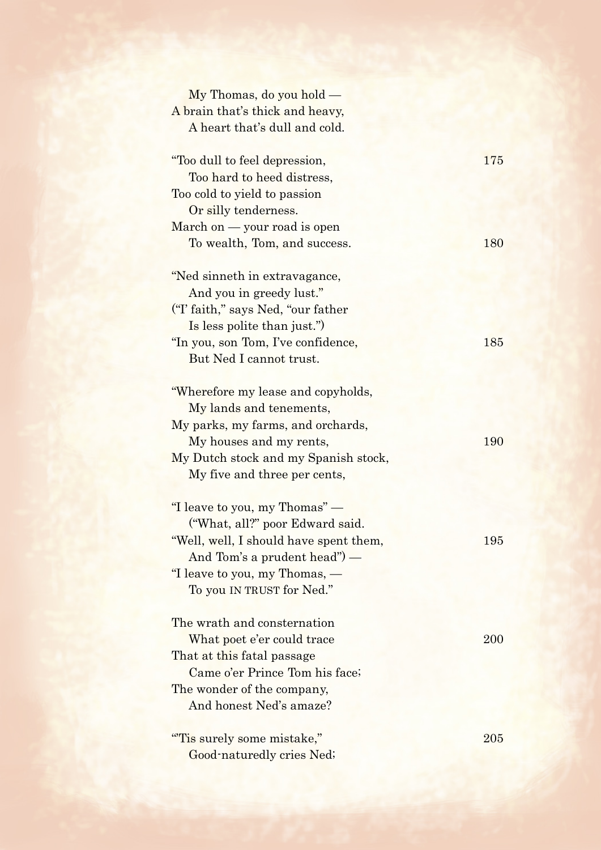| $My$ Thomas, do you hold $-$           |     |
|----------------------------------------|-----|
| A brain that's thick and heavy,        |     |
| A heart that's dull and cold.          |     |
| "Too dull to feel depression,          | 175 |
| Too hard to heed distress,             |     |
| Too cold to yield to passion           |     |
| Or silly tenderness.                   |     |
| March on - your road is open           |     |
| To wealth, Tom, and success.           | 180 |
| "Ned sinneth in extravagance,          |     |
| And you in greedy lust."               |     |
| ("I' faith," says Ned, "our father")   |     |
| Is less polite than just.")            |     |
| "In you, son Tom, I've confidence,     | 185 |
| But Ned I cannot trust.                |     |
| "Wherefore my lease and copyholds,     |     |
| My lands and tenements,                |     |
| My parks, my farms, and orchards,      |     |
| My houses and my rents,                | 190 |
| My Dutch stock and my Spanish stock,   |     |
| My five and three per cents,           |     |
| "I leave to you, my Thomas" —          |     |
| ("What, all?" poor Edward said.        |     |
| "Well, well, I should have spent them, | 195 |
| And Tom's a prudent head" $)$ —        |     |
| "I leave to you, my Thomas, —          |     |
| To you IN TRUST for Ned."              |     |
| The wrath and consternation            |     |
| What poet e'er could trace             | 200 |
| That at this fatal passage             |     |
| Came o'er Prince Tom his face;         |     |
| The wonder of the company,             |     |
| And honest Ned's amaze?                |     |
| "Tis surely some mistake,"             | 205 |
| Good-naturedly cries Ned;              |     |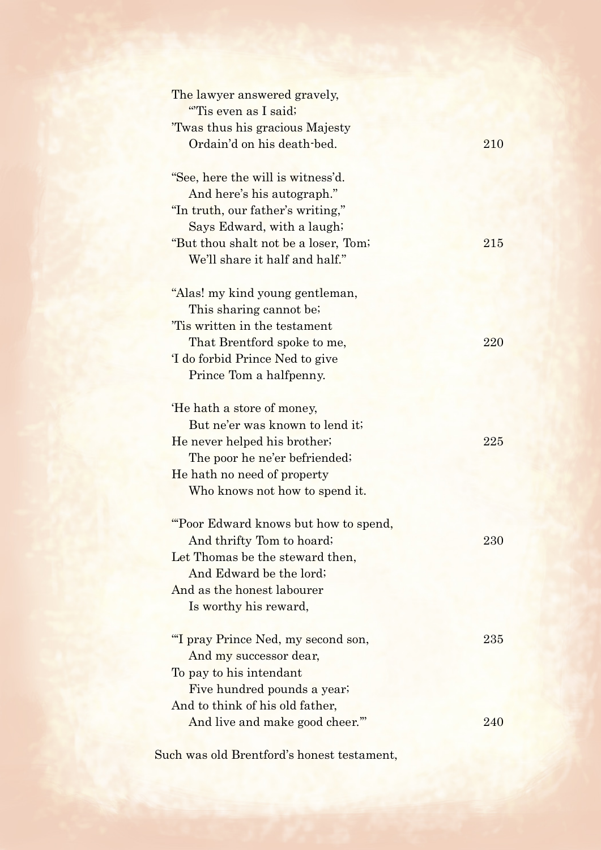| The lawyer answered gravely,<br>"Tis even as I said;          |            |
|---------------------------------------------------------------|------------|
| 'Twas thus his gracious Majesty<br>Ordain'd on his death-bed. | 210        |
| "See, here the will is witness'd.                             |            |
| And here's his autograph."                                    |            |
| "In truth, our father's writing,"                             |            |
| Says Edward, with a laugh;                                    |            |
| "But thou shalt not be a loser, Tom;                          | 215        |
| We'll share it half and half."                                |            |
| "Alas! my kind young gentleman,                               |            |
| This sharing cannot be;                                       |            |
| 'Tis written in the testament                                 |            |
| That Brentford spoke to me,                                   | 220        |
| 'I do forbid Prince Ned to give                               |            |
| Prince Tom a halfpenny.                                       |            |
| 'He hath a store of money,                                    |            |
| But ne'er was known to lend it;                               |            |
| He never helped his brother;                                  | 225        |
| The poor he ne'er befriended;                                 |            |
| He hath no need of property                                   |            |
| Who knows not how to spend it.                                |            |
| "Poor Edward knows but how to spend,                          |            |
| And thrifty Tom to hoard;                                     | <b>230</b> |
| Let Thomas be the steward then,                               |            |
| And Edward be the lord;                                       |            |
| And as the honest labourer                                    |            |
| Is worthy his reward,                                         |            |
| "I pray Prince Ned, my second son,                            | 235        |
| And my successor dear,                                        |            |
| To pay to his intendant                                       |            |
| Five hundred pounds a year;                                   |            |
| And to think of his old father,                               |            |
| And live and make good cheer."                                | 240        |
|                                                               |            |

Such was old Brentford's honest testament,